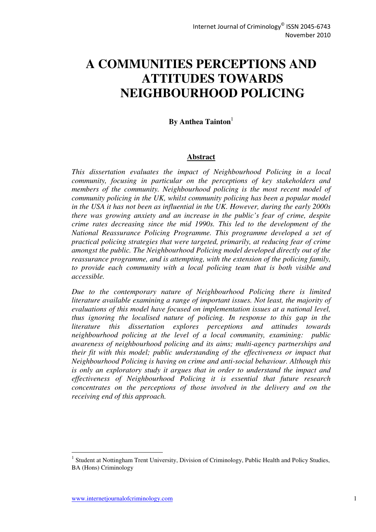# **A COMMUNITIES PERCEPTIONS AND ATTITUDES TOWARDS NEIGHBOURHOOD POLICING**

**By Anthea Tainton**<sup>1</sup>

#### **Abstract**

*This dissertation evaluates the impact of Neighbourhood Policing in a local community, focusing in particular on the perceptions of key stakeholders and members of the community. Neighbourhood policing is the most recent model of community policing in the UK, whilst community policing has been a popular model in the USA it has not been as influential in the UK. However, during the early 2000s there was growing anxiety and an increase in the public's fear of crime, despite crime rates decreasing since the mid 1990s. This led to the development of the National Reassurance Policing Programme. This programme developed a set of practical policing strategies that were targeted, primarily, at reducing fear of crime amongst the public. The Neighbourhood Policing model developed directly out of the reassurance programme, and is attempting, with the extension of the policing family, to provide each community with a local policing team that is both visible and accessible.* 

*Due to the contemporary nature of Neighbourhood Policing there is limited literature available examining a range of important issues. Not least, the majority of evaluations of this model have focused on implementation issues at a national level, thus ignoring the localised nature of policing. In response to this gap in the literature this dissertation explores perceptions and attitudes towards neighbourhood policing at the level of a local community, examining: public awareness of neighbourhood policing and its aims; multi-agency partnerships and their fit with this model; public understanding of the effectiveness or impact that Neighbourhood Policing is having on crime and anti-social behaviour. Although this is only an exploratory study it argues that in order to understand the impact and effectiveness of Neighbourhood Policing it is essential that future research concentrates on the perceptions of those involved in the delivery and on the receiving end of this approach.* 

l

<sup>1</sup> Student at Nottingham Trent University, Division of Criminology, Public Health and Policy Studies, BA (Hons) Criminology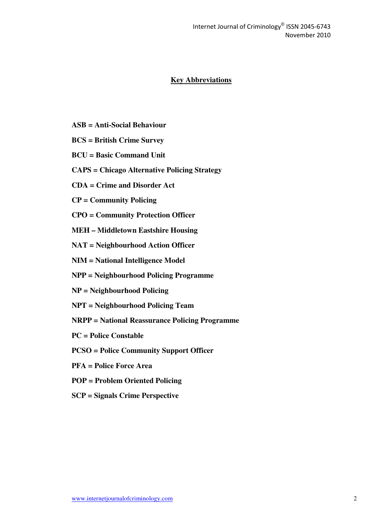### **Key Abbreviations**

- **ASB = Anti-Social Behaviour**
- **BCS = British Crime Survey**
- **BCU = Basic Command Unit**
- **CAPS = Chicago Alternative Policing Strategy**
- **CDA = Crime and Disorder Act**
- **CP = Community Policing**
- **CPO = Community Protection Officer**
- **MEH Middletown Eastshire Housing**
- **NAT = Neighbourhood Action Officer**
- **NIM = National Intelligence Model**
- **NPP = Neighbourhood Policing Programme**
- **NP = Neighbourhood Policing**
- **NPT = Neighbourhood Policing Team**
- **NRPP = National Reassurance Policing Programme**
- **PC = Police Constable**
- **PCSO = Police Community Support Officer**
- **PFA = Police Force Area**
- **POP = Problem Oriented Policing**
- **SCP = Signals Crime Perspective**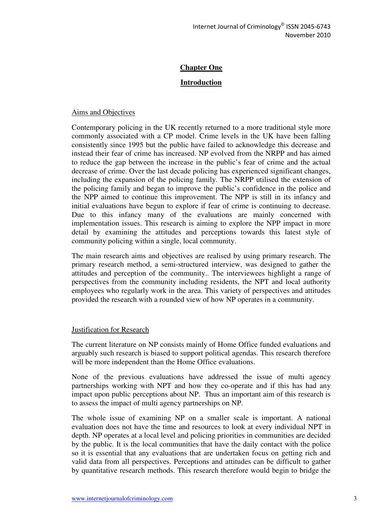### **Chapter One**

# **Introduction**

#### Aims and Objectives

Contemporary policing in the UK recently returned to a more traditional style more commonly associated with a CP model. Crime levels in the UK have been falling consistently since 1995 but the public have failed to acknowledge this decrease and instead their fear of crime has increased. NP evolved from the NRPP and has aimed to reduce the gap between the increase in the public's fear of crime and the actual decrease of crime. Over the last decade policing has experienced significant changes, including the expansion of the policing family. The NRPP utilised the extension of the policing family and began to improve the public's confidence in the police and the NPP aimed to continue this improvement. The NPP is still in its infancy and initial evaluations have begun to explore if fear of crime is continuing to decrease. Due to this infancy many of the evaluations are mainly concerned with implementation issues. This research is aiming to explore the NPP impact in more detail by examining the attitudes and perceptions towards this latest style of community policing within a single, local community.

The main research aims and objectives are realised by using primary research. The primary research method, a semi-structured interview, was designed to gather the attitudes and perception of the community.. The interviewees highlight a range of perspectives from the community including residents, the NPT and local authority employees who regularly work in the area. This variety of perspectives and attitudes provided the research with a rounded view of how NP operates in a community.

### Justification for Research

The current literature on NP consists mainly of Home Office funded evaluations and arguably such research is biased to support political agendas. This research therefore will be more independent than the Home Office evaluations.

None of the previous evaluations have addressed the issue of multi agency partnerships working with NPT and how they co-operate and if this has had any impact upon public perceptions about NP. Thus an important aim of this research is to assess the impact of multi agency partnerships on NP.

The whole issue of examining NP on a smaller scale is important. A national evaluation does not have the time and resources to look at every individual NPT in depth. NP operates at a local level and policing priorities in communities are decided by the public. It is the local communities that have the daily contact with the police so it is essential that any evaluations that are undertaken focus on getting rich and valid data from all perspectives. Perceptions and attitudes can be difficult to gather by quantitative research methods. This research therefore would begin to bridge the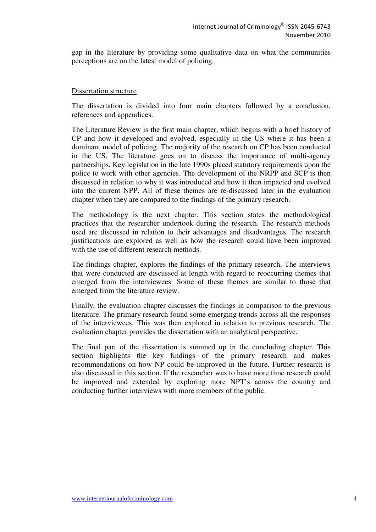gap in the literature by providing some qualitative data on what the communities perceptions are on the latest model of policing.

#### Dissertation structure

The dissertation is divided into four main chapters followed by a conclusion, references and appendices.

The Literature Review is the first main chapter, which begins with a brief history of CP and how it developed and evolved, especially in the US where it has been a dominant model of policing. The majority of the research on CP has been conducted in the US. The literature goes on to discuss the importance of multi-agency partnerships. Key legislation in the late 1990s placed statutory requirements upon the police to work with other agencies. The development of the NRPP and SCP is then discussed in relation to why it was introduced and how it then impacted and evolved into the current NPP. All of these themes are re-discussed later in the evaluation chapter when they are compared to the findings of the primary research.

The methodology is the next chapter. This section states the methodological practices that the researcher undertook during the research. The research methods used are discussed in relation to their advantages and disadvantages. The research justifications are explored as well as how the research could have been improved with the use of different research methods.

The findings chapter, explores the findings of the primary research. The interviews that were conducted are discussed at length with regard to reoccurring themes that emerged from the interviewees. Some of these themes are similar to those that emerged from the literature review.

Finally, the evaluation chapter discusses the findings in comparison to the previous literature. The primary research found some emerging trends across all the responses of the interviewees. This was then explored in relation to previous research. The evaluation chapter provides the dissertation with an analytical perspective.

The final part of the dissertation is summed up in the concluding chapter. This section highlights the key findings of the primary research and makes recommendations on how NP could be improved in the future. Further research is also discussed in this section. If the researcher was to have more time research could be improved and extended by exploring more NPT's across the country and conducting further interviews with more members of the public.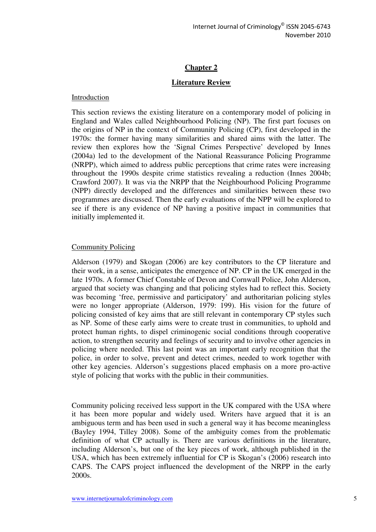# **Chapter 2**

# **Literature Review**

#### Introduction

This section reviews the existing literature on a contemporary model of policing in England and Wales called Neighbourhood Policing (NP). The first part focuses on the origins of NP in the context of Community Policing (CP), first developed in the 1970s: the former having many similarities and shared aims with the latter. The review then explores how the 'Signal Crimes Perspective' developed by Innes (2004a) led to the development of the National Reassurance Policing Programme (NRPP), which aimed to address public perceptions that crime rates were increasing throughout the 1990s despite crime statistics revealing a reduction (Innes 2004b; Crawford 2007). It was via the NRPP that the Neighbourhood Policing Programme (NPP) directly developed and the differences and similarities between these two programmes are discussed. Then the early evaluations of the NPP will be explored to see if there is any evidence of NP having a positive impact in communities that initially implemented it.

### Community Policing

Alderson (1979) and Skogan (2006) are key contributors to the CP literature and their work, in a sense, anticipates the emergence of NP. CP in the UK emerged in the late 1970s. A former Chief Constable of Devon and Cornwall Police, John Alderson, argued that society was changing and that policing styles had to reflect this. Society was becoming 'free, permissive and participatory' and authoritarian policing styles were no longer appropriate (Alderson, 1979: 199). His vision for the future of policing consisted of key aims that are still relevant in contemporary CP styles such as NP. Some of these early aims were to create trust in communities, to uphold and protect human rights, to dispel criminogenic social conditions through cooperative action, to strengthen security and feelings of security and to involve other agencies in policing where needed. This last point was an important early recognition that the police, in order to solve, prevent and detect crimes, needed to work together with other key agencies. Alderson's suggestions placed emphasis on a more pro-active style of policing that works with the public in their communities.

Community policing received less support in the UK compared with the USA where it has been more popular and widely used. Writers have argued that it is an ambiguous term and has been used in such a general way it has become meaningless (Bayley 1994, Tilley 2008). Some of the ambiguity comes from the problematic definition of what CP actually is. There are various definitions in the literature, including Alderson's, but one of the key pieces of work, although published in the USA, which has been extremely influential for CP is Skogan's (2006) research into CAPS. The CAPS project influenced the development of the NRPP in the early 2000s.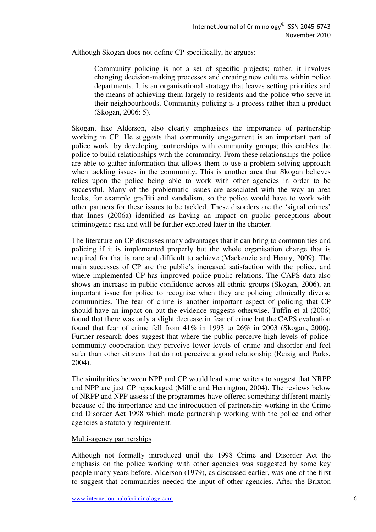Although Skogan does not define CP specifically, he argues:

Community policing is not a set of specific projects; rather, it involves changing decision-making processes and creating new cultures within police departments. It is an organisational strategy that leaves setting priorities and the means of achieving them largely to residents and the police who serve in their neighbourhoods. Community policing is a process rather than a product (Skogan, 2006: 5).

Skogan, like Alderson, also clearly emphasises the importance of partnership working in CP. He suggests that community engagement is an important part of police work, by developing partnerships with community groups; this enables the police to build relationships with the community. From these relationships the police are able to gather information that allows them to use a problem solving approach when tackling issues in the community. This is another area that Skogan believes relies upon the police being able to work with other agencies in order to be successful. Many of the problematic issues are associated with the way an area looks, for example graffiti and vandalism, so the police would have to work with other partners for these issues to be tackled. These disorders are the 'signal crimes' that Innes (2006a) identified as having an impact on public perceptions about criminogenic risk and will be further explored later in the chapter.

The literature on CP discusses many advantages that it can bring to communities and policing if it is implemented properly but the whole organisation change that is required for that is rare and difficult to achieve (Mackenzie and Henry, 2009). The main successes of CP are the public's increased satisfaction with the police, and where implemented CP has improved police-public relations. The CAPS data also shows an increase in public confidence across all ethnic groups (Skogan, 2006), an important issue for police to recognise when they are policing ethnically diverse communities. The fear of crime is another important aspect of policing that CP should have an impact on but the evidence suggests otherwise. Tuffin et al (2006) found that there was only a slight decrease in fear of crime but the CAPS evaluation found that fear of crime fell from 41% in 1993 to 26% in 2003 (Skogan, 2006). Further research does suggest that where the public perceive high levels of policecommunity cooperation they perceive lower levels of crime and disorder and feel safer than other citizens that do not perceive a good relationship (Reisig and Parks, 2004).

The similarities between NPP and CP would lead some writers to suggest that NRPP and NPP are just CP repackaged (Millie and Herrington, 2004). The reviews below of NRPP and NPP assess if the programmes have offered something different mainly because of the importance and the introduction of partnership working in the Crime and Disorder Act 1998 which made partnership working with the police and other agencies a statutory requirement.

# Multi-agency partnerships

Although not formally introduced until the 1998 Crime and Disorder Act the emphasis on the police working with other agencies was suggested by some key people many years before. Alderson (1979), as discussed earlier, was one of the first to suggest that communities needed the input of other agencies. After the Brixton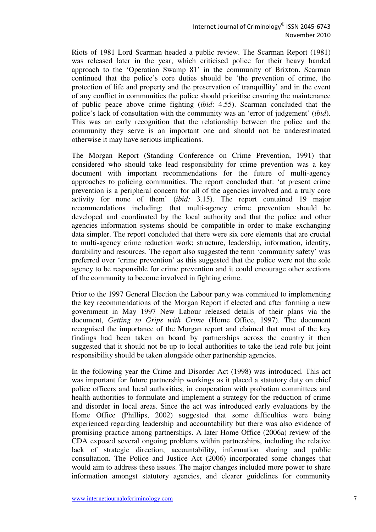Riots of 1981 Lord Scarman headed a public review. The Scarman Report (1981) was released later in the year, which criticised police for their heavy handed approach to the 'Operation Swamp 81' in the community of Brixton. Scarman continued that the police's core duties should be 'the prevention of crime, the protection of life and property and the preservation of tranquillity' and in the event of any conflict in communities the police should prioritise ensuring the maintenance of public peace above crime fighting (*ibid*: 4.55). Scarman concluded that the police's lack of consultation with the community was an 'error of judgement' (*ibid*). This was an early recognition that the relationship between the police and the community they serve is an important one and should not be underestimated otherwise it may have serious implications.

The Morgan Report (Standing Conference on Crime Prevention, 1991) that considered who should take lead responsibility for crime prevention was a key document with important recommendations for the future of multi-agency approaches to policing communities. The report concluded that: 'at present crime prevention is a peripheral concern for all of the agencies involved and a truly core activity for none of them' (*ibid:* 3.15). The report contained 19 major recommendations including: that multi-agency crime prevention should be developed and coordinated by the local authority and that the police and other agencies information systems should be compatible in order to make exchanging data simpler. The report concluded that there were six core elements that are crucial to multi-agency crime reduction work; structure, leadership, information, identity, durability and resources. The report also suggested the term 'community safety' was preferred over 'crime prevention' as this suggested that the police were not the sole agency to be responsible for crime prevention and it could encourage other sections of the community to become involved in fighting crime.

Prior to the 1997 General Election the Labour party was committed to implementing the key recommendations of the Morgan Report if elected and after forming a new government in May 1997 New Labour released details of their plans via the document, *Getting to Grips with Crime* (Home Office, 1997). The document recognised the importance of the Morgan report and claimed that most of the key findings had been taken on board by partnerships across the country it then suggested that it should not be up to local authorities to take the lead role but joint responsibility should be taken alongside other partnership agencies.

In the following year the Crime and Disorder Act (1998) was introduced. This act was important for future partnership workings as it placed a statutory duty on chief police officers and local authorities, in cooperation with probation committees and health authorities to formulate and implement a strategy for the reduction of crime and disorder in local areas. Since the act was introduced early evaluations by the Home Office (Phillips, 2002) suggested that some difficulties were being experienced regarding leadership and accountability but there was also evidence of promising practice among partnerships. A later Home Office (2006a) review of the CDA exposed several ongoing problems within partnerships, including the relative lack of strategic direction, accountability, information sharing and public consultation. The Police and Justice Act (2006) incorporated some changes that would aim to address these issues. The major changes included more power to share information amongst statutory agencies, and clearer guidelines for community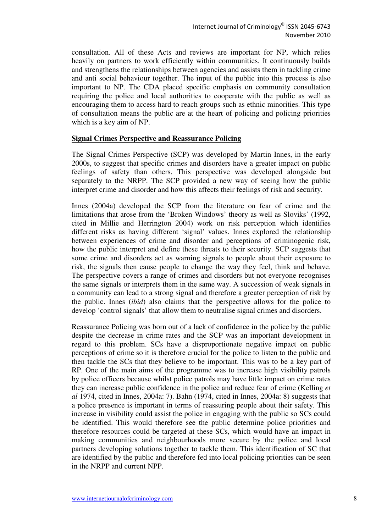consultation. All of these Acts and reviews are important for NP, which relies heavily on partners to work efficiently within communities. It continuously builds and strengthens the relationships between agencies and assists them in tackling crime and anti social behaviour together. The input of the public into this process is also important to NP. The CDA placed specific emphasis on community consultation requiring the police and local authorities to cooperate with the public as well as encouraging them to access hard to reach groups such as ethnic minorities. This type of consultation means the public are at the heart of policing and policing priorities which is a key aim of NP.

### **Signal Crimes Perspective and Reassurance Policing**

The Signal Crimes Perspective (SCP) was developed by Martin Innes, in the early 2000s, to suggest that specific crimes and disorders have a greater impact on public feelings of safety than others. This perspective was developed alongside but separately to the NRPP. The SCP provided a new way of seeing how the public interpret crime and disorder and how this affects their feelings of risk and security.

Innes (2004a) developed the SCP from the literature on fear of crime and the limitations that arose from the 'Broken Windows' theory as well as Sloviks' (1992, cited in Millie and Herrington 2004) work on risk perception which identifies different risks as having different 'signal' values. Innes explored the relationship between experiences of crime and disorder and perceptions of criminogenic risk, how the public interpret and define these threats to their security. SCP suggests that some crime and disorders act as warning signals to people about their exposure to risk, the signals then cause people to change the way they feel, think and behave. The perspective covers a range of crimes and disorders but not everyone recognises the same signals or interprets them in the same way. A succession of weak signals in a community can lead to a strong signal and therefore a greater perception of risk by the public. Innes (*ibid*) also claims that the perspective allows for the police to develop 'control signals' that allow them to neutralise signal crimes and disorders.

Reassurance Policing was born out of a lack of confidence in the police by the public despite the decrease in crime rates and the SCP was an important development in regard to this problem. SCs have a disproportionate negative impact on public perceptions of crime so it is therefore crucial for the police to listen to the public and then tackle the SCs that they believe to be important. This was to be a key part of RP. One of the main aims of the programme was to increase high visibility patrols by police officers because whilst police patrols may have little impact on crime rates they can increase public confidence in the police and reduce fear of crime (Kelling *et al* 1974, cited in Innes, 2004a: 7). Bahn (1974, cited in Innes, 2004a: 8) suggests that a police presence is important in terms of reassuring people about their safety. This increase in visibility could assist the police in engaging with the public so SCs could be identified. This would therefore see the public determine police priorities and therefore resources could be targeted at these SCs, which would have an impact in making communities and neighbourhoods more secure by the police and local partners developing solutions together to tackle them. This identification of SC that are identified by the public and therefore fed into local policing priorities can be seen in the NRPP and current NPP.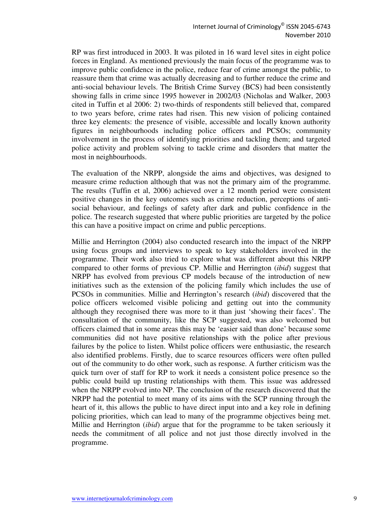RP was first introduced in 2003. It was piloted in 16 ward level sites in eight police forces in England. As mentioned previously the main focus of the programme was to improve public confidence in the police, reduce fear of crime amongst the public, to reassure them that crime was actually decreasing and to further reduce the crime and anti-social behaviour levels. The British Crime Survey (BCS) had been consistently showing falls in crime since 1995 however in 2002/03 (Nicholas and Walker, 2003 cited in Tuffin et al 2006: 2) two-thirds of respondents still believed that, compared to two years before, crime rates had risen. This new vision of policing contained three key elements: the presence of visible, accessible and locally known authority figures in neighbourhoods including police officers and PCSOs; community involvement in the process of identifying priorities and tackling them; and targeted police activity and problem solving to tackle crime and disorders that matter the most in neighbourhoods.

The evaluation of the NRPP, alongside the aims and objectives, was designed to measure crime reduction although that was not the primary aim of the programme. The results (Tuffin et al, 2006) achieved over a 12 month period were consistent positive changes in the key outcomes such as crime reduction, perceptions of antisocial behaviour, and feelings of safety after dark and public confidence in the police. The research suggested that where public priorities are targeted by the police this can have a positive impact on crime and public perceptions.

Millie and Herrington (2004) also conducted research into the impact of the NRPP using focus groups and interviews to speak to key stakeholders involved in the programme. Their work also tried to explore what was different about this NRPP compared to other forms of previous CP. Millie and Herrington (*ibid*) suggest that NRPP has evolved from previous CP models because of the introduction of new initiatives such as the extension of the policing family which includes the use of PCSOs in communities. Millie and Herrington's research (*ibid*) discovered that the police officers welcomed visible policing and getting out into the community although they recognised there was more to it than just 'showing their faces'. The consultation of the community, like the SCP suggested, was also welcomed but officers claimed that in some areas this may be 'easier said than done' because some communities did not have positive relationships with the police after previous failures by the police to listen. Whilst police officers were enthusiastic, the research also identified problems. Firstly, due to scarce resources officers were often pulled out of the community to do other work, such as response. A further criticism was the quick turn over of staff for RP to work it needs a consistent police presence so the public could build up trusting relationships with them. This issue was addressed when the NRPP evolved into NP. The conclusion of the research discovered that the NRPP had the potential to meet many of its aims with the SCP running through the heart of it, this allows the public to have direct input into and a key role in defining policing priorities, which can lead to many of the programme objectives being met. Millie and Herrington (*ibid*) argue that for the programme to be taken seriously it needs the commitment of all police and not just those directly involved in the programme.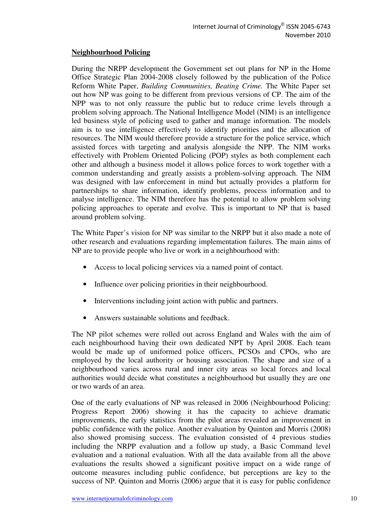# **Neighbourhood Policing**

During the NRPP development the Government set out plans for NP in the Home Office Strategic Plan 2004-2008 closely followed by the publication of the Police Reform White Paper, *Building Communities, Beating Crime.* The White Paper set out how NP was going to be different from previous versions of CP. The aim of the NPP was to not only reassure the public but to reduce crime levels through a problem solving approach. The National Intelligence Model (NIM) is an intelligence led business style of policing used to gather and manage information. The models aim is to use intelligence effectively to identify priorities and the allocation of resources. The NIM would therefore provide a structure for the police service, which assisted forces with targeting and analysis alongside the NPP. The NIM works effectively with Problem Oriented Policing (POP) styles as both complement each other and although a business model it allows police forces to work together with a common understanding and greatly assists a problem-solving approach. The NIM was designed with law enforcement in mind but actually provides a platform for partnerships to share information, identify problems, process information and to analyse intelligence. The NIM therefore has the potential to allow problem solving policing approaches to operate and evolve. This is important to NP that is based around problem solving.

The White Paper's vision for NP was similar to the NRPP but it also made a note of other research and evaluations regarding implementation failures. The main aims of NP are to provide people who live or work in a neighbourhood with:

- Access to local policing services via a named point of contact.
- Influence over policing priorities in their neighbourhood.
- Interventions including joint action with public and partners.
- Answers sustainable solutions and feedback.

The NP pilot schemes were rolled out across England and Wales with the aim of each neighbourhood having their own dedicated NPT by April 2008. Each team would be made up of uniformed police officers, PCSOs and CPOs, who are employed by the local authority or housing association. The shape and size of a neighbourhood varies across rural and inner city areas so local forces and local authorities would decide what constitutes a neighbourhood but usually they are one or two wards of an area.

One of the early evaluations of NP was released in 2006 (Neighbourhood Policing: Progress Report 2006) showing it has the capacity to achieve dramatic improvements, the early statistics from the pilot areas revealed an improvement in public confidence with the police. Another evaluation by Quinton and Morris (2008) also showed promising success. The evaluation consisted of 4 previous studies including the NRPP evaluation and a follow up study, a Basic Command level evaluation and a national evaluation. With all the data available from all the above evaluations the results showed a significant positive impact on a wide range of outcome measures including public confidence, but perceptions are key to the success of NP. Quinton and Morris (2006) argue that it is easy for public confidence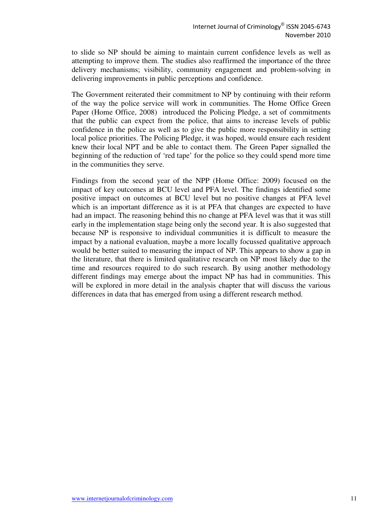to slide so NP should be aiming to maintain current confidence levels as well as attempting to improve them. The studies also reaffirmed the importance of the three delivery mechanisms; visibility, community engagement and problem-solving in delivering improvements in public perceptions and confidence.

The Government reiterated their commitment to NP by continuing with their reform of the way the police service will work in communities. The Home Office Green Paper (Home Office, 2008) introduced the Policing Pledge, a set of commitments that the public can expect from the police, that aims to increase levels of public confidence in the police as well as to give the public more responsibility in setting local police priorities. The Policing Pledge, it was hoped, would ensure each resident knew their local NPT and be able to contact them. The Green Paper signalled the beginning of the reduction of 'red tape' for the police so they could spend more time in the communities they serve.

Findings from the second year of the NPP (Home Office: 2009) focused on the impact of key outcomes at BCU level and PFA level. The findings identified some positive impact on outcomes at BCU level but no positive changes at PFA level which is an important difference as it is at PFA that changes are expected to have had an impact. The reasoning behind this no change at PFA level was that it was still early in the implementation stage being only the second year. It is also suggested that because NP is responsive to individual communities it is difficult to measure the impact by a national evaluation, maybe a more locally focussed qualitative approach would be better suited to measuring the impact of NP. This appears to show a gap in the literature, that there is limited qualitative research on NP most likely due to the time and resources required to do such research. By using another methodology different findings may emerge about the impact NP has had in communities. This will be explored in more detail in the analysis chapter that will discuss the various differences in data that has emerged from using a different research method.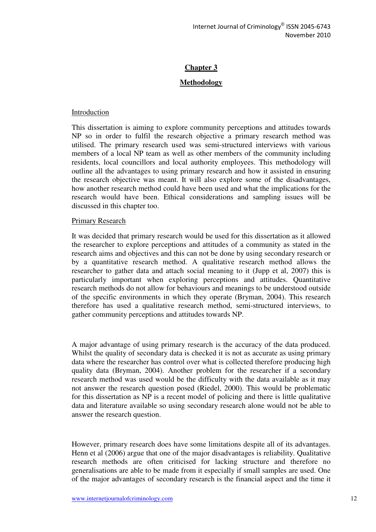# **Chapter 3**

# **Methodology**

#### Introduction

This dissertation is aiming to explore community perceptions and attitudes towards NP so in order to fulfil the research objective a primary research method was utilised. The primary research used was semi-structured interviews with various members of a local NP team as well as other members of the community including residents, local councillors and local authority employees. This methodology will outline all the advantages to using primary research and how it assisted in ensuring the research objective was meant. It will also explore some of the disadvantages, how another research method could have been used and what the implications for the research would have been. Ethical considerations and sampling issues will be discussed in this chapter too.

#### Primary Research

It was decided that primary research would be used for this dissertation as it allowed the researcher to explore perceptions and attitudes of a community as stated in the research aims and objectives and this can not be done by using secondary research or by a quantitative research method. A qualitative research method allows the researcher to gather data and attach social meaning to it (Jupp et al, 2007) this is particularly important when exploring perceptions and attitudes. Quantitative research methods do not allow for behaviours and meanings to be understood outside of the specific environments in which they operate (Bryman, 2004). This research therefore has used a qualitative research method, semi-structured interviews, to gather community perceptions and attitudes towards NP.

A major advantage of using primary research is the accuracy of the data produced. Whilst the quality of secondary data is checked it is not as accurate as using primary data where the researcher has control over what is collected therefore producing high quality data (Bryman, 2004). Another problem for the researcher if a secondary research method was used would be the difficulty with the data available as it may not answer the research question posed (Riedel, 2000). This would be problematic for this dissertation as NP is a recent model of policing and there is little qualitative data and literature available so using secondary research alone would not be able to answer the research question.

However, primary research does have some limitations despite all of its advantages. Henn et al (2006) argue that one of the major disadvantages is reliability. Qualitative research methods are often criticised for lacking structure and therefore no generalisations are able to be made from it especially if small samples are used. One of the major advantages of secondary research is the financial aspect and the time it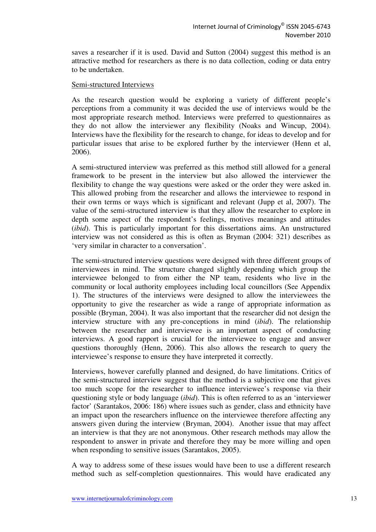saves a researcher if it is used. David and Sutton (2004) suggest this method is an attractive method for researchers as there is no data collection, coding or data entry to be undertaken.

### Semi-structured Interviews

As the research question would be exploring a variety of different people's perceptions from a community it was decided the use of interviews would be the most appropriate research method. Interviews were preferred to questionnaires as they do not allow the interviewer any flexibility (Noaks and Wincup, 2004). Interviews have the flexibility for the research to change, for ideas to develop and for particular issues that arise to be explored further by the interviewer (Henn et al, 2006).

A semi-structured interview was preferred as this method still allowed for a general framework to be present in the interview but also allowed the interviewer the flexibility to change the way questions were asked or the order they were asked in. This allowed probing from the researcher and allows the interviewee to respond in their own terms or ways which is significant and relevant (Jupp et al, 2007). The value of the semi-structured interview is that they allow the researcher to explore in depth some aspect of the respondent's feelings, motives meanings and attitudes (*ibid*). This is particularly important for this dissertations aims. An unstructured interview was not considered as this is often as Bryman (2004: 321) describes as 'very similar in character to a conversation'.

The semi-structured interview questions were designed with three different groups of interviewees in mind. The structure changed slightly depending which group the interviewee belonged to from either the NP team, residents who live in the community or local authority employees including local councillors (See Appendix 1). The structures of the interviews were designed to allow the interviewees the opportunity to give the researcher as wide a range of appropriate information as possible (Bryman, 2004). It was also important that the researcher did not design the interview structure with any pre-conceptions in mind (*ibid*). The relationship between the researcher and interviewee is an important aspect of conducting interviews. A good rapport is crucial for the interviewee to engage and answer questions thoroughly (Henn, 2006). This also allows the research to query the interviewee's response to ensure they have interpreted it correctly.

Interviews, however carefully planned and designed, do have limitations. Critics of the semi-structured interview suggest that the method is a subjective one that gives too much scope for the researcher to influence interviewee's response via their questioning style or body language (*ibid*). This is often referred to as an 'interviewer factor' (Sarantakos, 2006: 186) where issues such as gender, class and ethnicity have an impact upon the researchers influence on the interviewee therefore affecting any answers given during the interview (Bryman, 2004). Another issue that may affect an interview is that they are not anonymous. Other research methods may allow the respondent to answer in private and therefore they may be more willing and open when responding to sensitive issues (Sarantakos, 2005).

A way to address some of these issues would have been to use a different research method such as self-completion questionnaires. This would have eradicated any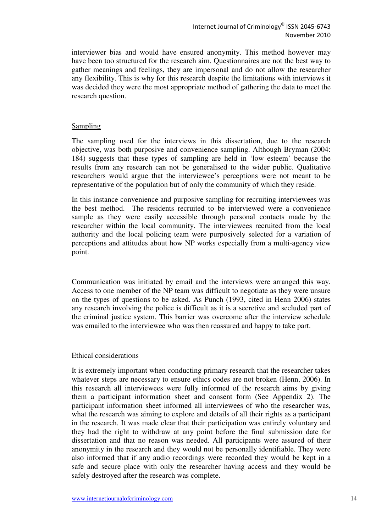interviewer bias and would have ensured anonymity. This method however may have been too structured for the research aim. Questionnaires are not the best way to gather meanings and feelings, they are impersonal and do not allow the researcher any flexibility. This is why for this research despite the limitations with interviews it was decided they were the most appropriate method of gathering the data to meet the research question.

#### Sampling

The sampling used for the interviews in this dissertation, due to the research objective, was both purposive and convenience sampling. Although Bryman (2004: 184) suggests that these types of sampling are held in 'low esteem' because the results from any research can not be generalised to the wider public. Qualitative researchers would argue that the interviewee's perceptions were not meant to be representative of the population but of only the community of which they reside.

In this instance convenience and purposive sampling for recruiting interviewees was the best method. The residents recruited to be interviewed were a convenience sample as they were easily accessible through personal contacts made by the researcher within the local community. The interviewees recruited from the local authority and the local policing team were purposively selected for a variation of perceptions and attitudes about how NP works especially from a multi-agency view point.

Communication was initiated by email and the interviews were arranged this way. Access to one member of the NP team was difficult to negotiate as they were unsure on the types of questions to be asked. As Punch (1993, cited in Henn 2006) states any research involving the police is difficult as it is a secretive and secluded part of the criminal justice system. This barrier was overcome after the interview schedule was emailed to the interviewee who was then reassured and happy to take part.

#### Ethical considerations

It is extremely important when conducting primary research that the researcher takes whatever steps are necessary to ensure ethics codes are not broken (Henn, 2006). In this research all interviewees were fully informed of the research aims by giving them a participant information sheet and consent form (See Appendix 2). The participant information sheet informed all interviewees of who the researcher was, what the research was aiming to explore and details of all their rights as a participant in the research. It was made clear that their participation was entirely voluntary and they had the right to withdraw at any point before the final submission date for dissertation and that no reason was needed. All participants were assured of their anonymity in the research and they would not be personally identifiable. They were also informed that if any audio recordings were recorded they would be kept in a safe and secure place with only the researcher having access and they would be safely destroyed after the research was complete.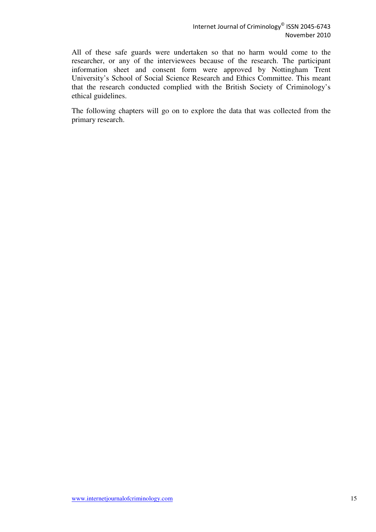All of these safe guards were undertaken so that no harm would come to the researcher, or any of the interviewees because of the research. The participant information sheet and consent form were approved by Nottingham Trent University's School of Social Science Research and Ethics Committee. This meant that the research conducted complied with the British Society of Criminology's ethical guidelines.

The following chapters will go on to explore the data that was collected from the primary research.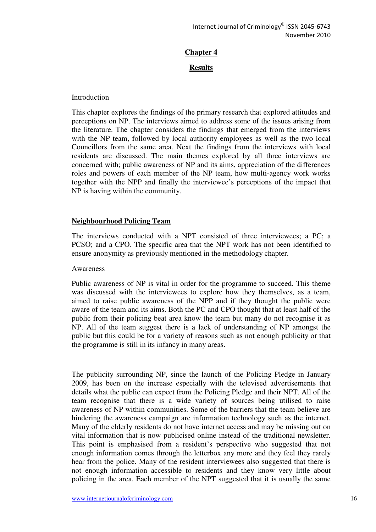# **Chapter 4**

### **Results**

#### Introduction

This chapter explores the findings of the primary research that explored attitudes and perceptions on NP. The interviews aimed to address some of the issues arising from the literature. The chapter considers the findings that emerged from the interviews with the NP team, followed by local authority employees as well as the two local Councillors from the same area. Next the findings from the interviews with local residents are discussed. The main themes explored by all three interviews are concerned with; public awareness of NP and its aims, appreciation of the differences roles and powers of each member of the NP team, how multi-agency work works together with the NPP and finally the interviewee's perceptions of the impact that NP is having within the community.

# **Neighbourhood Policing Team**

The interviews conducted with a NPT consisted of three interviewees; a PC; a PCSO; and a CPO. The specific area that the NPT work has not been identified to ensure anonymity as previously mentioned in the methodology chapter.

#### **Awareness**

Public awareness of NP is vital in order for the programme to succeed. This theme was discussed with the interviewees to explore how they themselves, as a team, aimed to raise public awareness of the NPP and if they thought the public were aware of the team and its aims. Both the PC and CPO thought that at least half of the public from their policing beat area know the team but many do not recognise it as NP. All of the team suggest there is a lack of understanding of NP amongst the public but this could be for a variety of reasons such as not enough publicity or that the programme is still in its infancy in many areas.

The publicity surrounding NP, since the launch of the Policing Pledge in January 2009, has been on the increase especially with the televised advertisements that details what the public can expect from the Policing Pledge and their NPT. All of the team recognise that there is a wide variety of sources being utilised to raise awareness of NP within communities. Some of the barriers that the team believe are hindering the awareness campaign are information technology such as the internet. Many of the elderly residents do not have internet access and may be missing out on vital information that is now publicised online instead of the traditional newsletter. This point is emphasised from a resident's perspective who suggested that not enough information comes through the letterbox any more and they feel they rarely hear from the police. Many of the resident interviewees also suggested that there is not enough information accessible to residents and they know very little about policing in the area. Each member of the NPT suggested that it is usually the same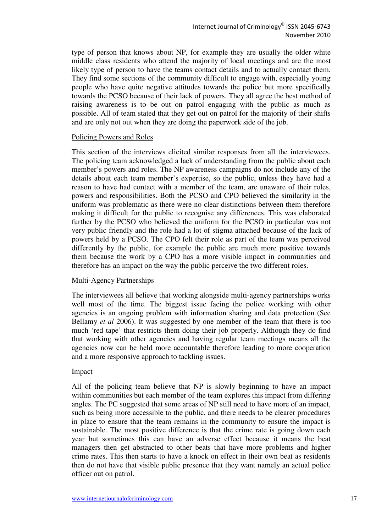type of person that knows about NP, for example they are usually the older white middle class residents who attend the majority of local meetings and are the most likely type of person to have the teams contact details and to actually contact them. They find some sections of the community difficult to engage with, especially young people who have quite negative attitudes towards the police but more specifically towards the PCSO because of their lack of powers. They all agree the best method of raising awareness is to be out on patrol engaging with the public as much as possible. All of team stated that they get out on patrol for the majority of their shifts and are only not out when they are doing the paperwork side of the job.

#### Policing Powers and Roles

This section of the interviews elicited similar responses from all the interviewees. The policing team acknowledged a lack of understanding from the public about each member's powers and roles. The NP awareness campaigns do not include any of the details about each team member's expertise, so the public, unless they have had a reason to have had contact with a member of the team, are unaware of their roles, powers and responsibilities. Both the PCSO and CPO believed the similarity in the uniform was problematic as there were no clear distinctions between them therefore making it difficult for the public to recognise any differences. This was elaborated further by the PCSO who believed the uniform for the PCSO in particular was not very public friendly and the role had a lot of stigma attached because of the lack of powers held by a PCSO. The CPO felt their role as part of the team was perceived differently by the public, for example the public are much more positive towards them because the work by a CPO has a more visible impact in communities and therefore has an impact on the way the public perceive the two different roles.

### Multi-Agency Partnerships

The interviewees all believe that working alongside multi-agency partnerships works well most of the time. The biggest issue facing the police working with other agencies is an ongoing problem with information sharing and data protection (See Bellamy *et al* 2006). It was suggested by one member of the team that there is too much 'red tape' that restricts them doing their job properly. Although they do find that working with other agencies and having regular team meetings means all the agencies now can be held more accountable therefore leading to more cooperation and a more responsive approach to tackling issues.

#### Impact

All of the policing team believe that NP is slowly beginning to have an impact within communities but each member of the team explores this impact from differing angles. The PC suggested that some areas of NP still need to have more of an impact, such as being more accessible to the public, and there needs to be clearer procedures in place to ensure that the team remains in the community to ensure the impact is sustainable. The most positive difference is that the crime rate is going down each year but sometimes this can have an adverse effect because it means the beat managers then get abstracted to other beats that have more problems and higher crime rates. This then starts to have a knock on effect in their own beat as residents then do not have that visible public presence that they want namely an actual police officer out on patrol.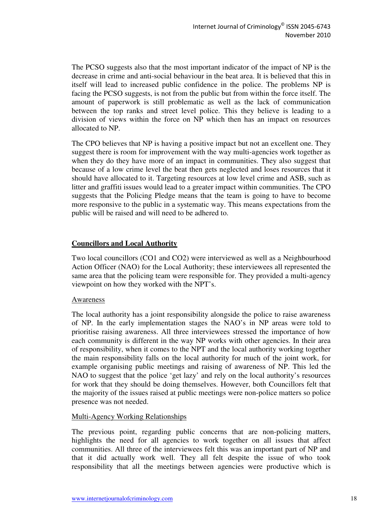The PCSO suggests also that the most important indicator of the impact of NP is the decrease in crime and anti-social behaviour in the beat area. It is believed that this in itself will lead to increased public confidence in the police. The problems NP is facing the PCSO suggests, is not from the public but from within the force itself. The amount of paperwork is still problematic as well as the lack of communication between the top ranks and street level police. This they believe is leading to a division of views within the force on NP which then has an impact on resources allocated to NP.

The CPO believes that NP is having a positive impact but not an excellent one. They suggest there is room for improvement with the way multi-agencies work together as when they do they have more of an impact in communities. They also suggest that because of a low crime level the beat then gets neglected and loses resources that it should have allocated to it. Targeting resources at low level crime and ASB, such as litter and graffiti issues would lead to a greater impact within communities. The CPO suggests that the Policing Pledge means that the team is going to have to become more responsive to the public in a systematic way. This means expectations from the public will be raised and will need to be adhered to.

# **Councillors and Local Authority**

Two local councillors (CO1 and CO2) were interviewed as well as a Neighbourhood Action Officer (NAO) for the Local Authority; these interviewees all represented the same area that the policing team were responsible for. They provided a multi-agency viewpoint on how they worked with the NPT's.

### Awareness

The local authority has a joint responsibility alongside the police to raise awareness of NP. In the early implementation stages the NAO's in NP areas were told to prioritise raising awareness. All three interviewees stressed the importance of how each community is different in the way NP works with other agencies. In their area of responsibility, when it comes to the NPT and the local authority working together the main responsibility falls on the local authority for much of the joint work, for example organising public meetings and raising of awareness of NP. This led the NAO to suggest that the police 'get lazy' and rely on the local authority's resources for work that they should be doing themselves. However, both Councillors felt that the majority of the issues raised at public meetings were non-police matters so police presence was not needed.

#### Multi-Agency Working Relationships

The previous point, regarding public concerns that are non-policing matters, highlights the need for all agencies to work together on all issues that affect communities. All three of the interviewees felt this was an important part of NP and that it did actually work well. They all felt despite the issue of who took responsibility that all the meetings between agencies were productive which is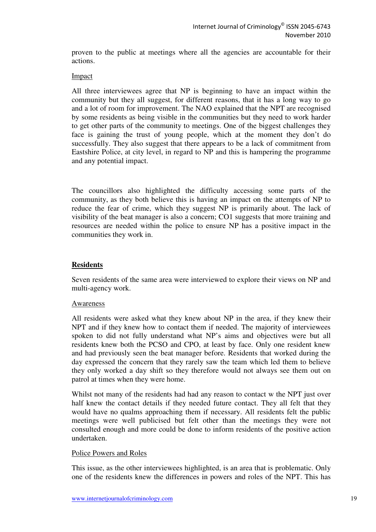proven to the public at meetings where all the agencies are accountable for their actions.

#### Impact

All three interviewees agree that NP is beginning to have an impact within the community but they all suggest, for different reasons, that it has a long way to go and a lot of room for improvement. The NAO explained that the NPT are recognised by some residents as being visible in the communities but they need to work harder to get other parts of the community to meetings. One of the biggest challenges they face is gaining the trust of young people, which at the moment they don't do successfully. They also suggest that there appears to be a lack of commitment from Eastshire Police, at city level, in regard to NP and this is hampering the programme and any potential impact.

The councillors also highlighted the difficulty accessing some parts of the community, as they both believe this is having an impact on the attempts of NP to reduce the fear of crime, which they suggest NP is primarily about. The lack of visibility of the beat manager is also a concern; CO1 suggests that more training and resources are needed within the police to ensure NP has a positive impact in the communities they work in.

# **Residents**

Seven residents of the same area were interviewed to explore their views on NP and multi-agency work.

### Awareness

All residents were asked what they knew about NP in the area, if they knew their NPT and if they knew how to contact them if needed. The majority of interviewees spoken to did not fully understand what NP's aims and objectives were but all residents knew both the PCSO and CPO, at least by face. Only one resident knew and had previously seen the beat manager before. Residents that worked during the day expressed the concern that they rarely saw the team which led them to believe they only worked a day shift so they therefore would not always see them out on patrol at times when they were home.

Whilst not many of the residents had had any reason to contact w the NPT just over half knew the contact details if they needed future contact. They all felt that they would have no qualms approaching them if necessary. All residents felt the public meetings were well publicised but felt other than the meetings they were not consulted enough and more could be done to inform residents of the positive action undertaken.

### Police Powers and Roles

This issue, as the other interviewees highlighted, is an area that is problematic. Only one of the residents knew the differences in powers and roles of the NPT. This has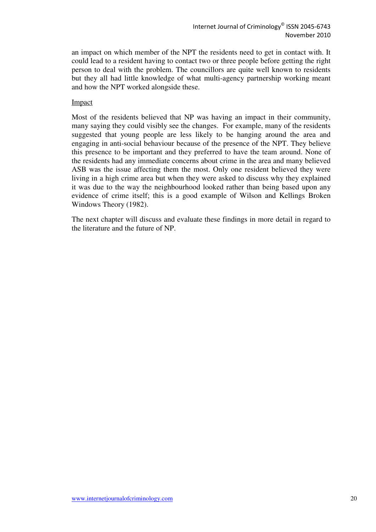an impact on which member of the NPT the residents need to get in contact with. It could lead to a resident having to contact two or three people before getting the right person to deal with the problem. The councillors are quite well known to residents but they all had little knowledge of what multi-agency partnership working meant and how the NPT worked alongside these.

#### Impact

Most of the residents believed that NP was having an impact in their community, many saying they could visibly see the changes. For example, many of the residents suggested that young people are less likely to be hanging around the area and engaging in anti-social behaviour because of the presence of the NPT. They believe this presence to be important and they preferred to have the team around. None of the residents had any immediate concerns about crime in the area and many believed ASB was the issue affecting them the most. Only one resident believed they were living in a high crime area but when they were asked to discuss why they explained it was due to the way the neighbourhood looked rather than being based upon any evidence of crime itself; this is a good example of Wilson and Kellings Broken Windows Theory (1982).

The next chapter will discuss and evaluate these findings in more detail in regard to the literature and the future of NP.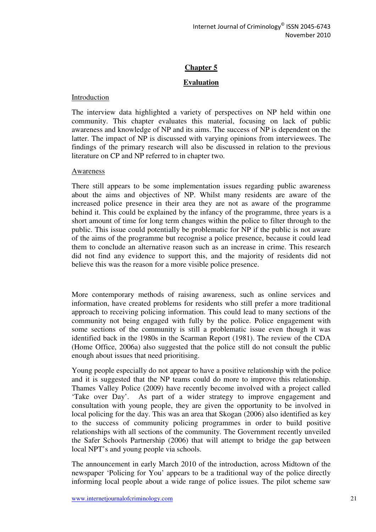# **Chapter 5**

# **Evaluation**

#### Introduction

The interview data highlighted a variety of perspectives on NP held within one community. This chapter evaluates this material, focusing on lack of public awareness and knowledge of NP and its aims. The success of NP is dependent on the latter. The impact of NP is discussed with varying opinions from interviewees. The findings of the primary research will also be discussed in relation to the previous literature on CP and NP referred to in chapter two.

#### Awareness

There still appears to be some implementation issues regarding public awareness about the aims and objectives of NP. Whilst many residents are aware of the increased police presence in their area they are not as aware of the programme behind it. This could be explained by the infancy of the programme, three years is a short amount of time for long term changes within the police to filter through to the public. This issue could potentially be problematic for NP if the public is not aware of the aims of the programme but recognise a police presence, because it could lead them to conclude an alternative reason such as an increase in crime. This research did not find any evidence to support this, and the majority of residents did not believe this was the reason for a more visible police presence.

More contemporary methods of raising awareness, such as online services and information, have created problems for residents who still prefer a more traditional approach to receiving policing information. This could lead to many sections of the community not being engaged with fully by the police. Police engagement with some sections of the community is still a problematic issue even though it was identified back in the 1980s in the Scarman Report (1981). The review of the CDA (Home Office, 2006a) also suggested that the police still do not consult the public enough about issues that need prioritising.

Young people especially do not appear to have a positive relationship with the police and it is suggested that the NP teams could do more to improve this relationship. Thames Valley Police (2009) have recently become involved with a project called 'Take over Day'. As part of a wider strategy to improve engagement and consultation with young people, they are given the opportunity to be involved in local policing for the day. This was an area that Skogan (2006) also identified as key to the success of community policing programmes in order to build positive relationships with all sections of the community. The Government recently unveiled the Safer Schools Partnership (2006) that will attempt to bridge the gap between local NPT's and young people via schools.

The announcement in early March 2010 of the introduction, across Midtown of the newspaper 'Policing for You' appears to be a traditional way of the police directly informing local people about a wide range of police issues. The pilot scheme saw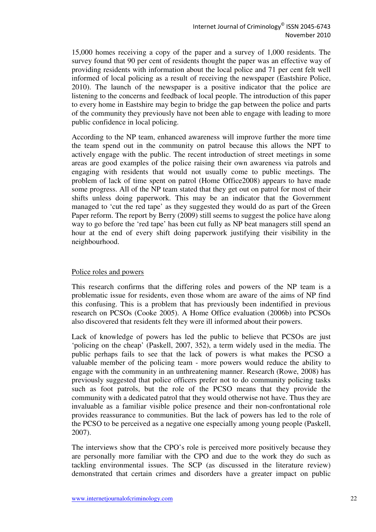15,000 homes receiving a copy of the paper and a survey of 1,000 residents. The survey found that 90 per cent of residents thought the paper was an effective way of providing residents with information about the local police and 71 per cent felt well informed of local policing as a result of receiving the newspaper (Eastshire Police, 2010). The launch of the newspaper is a positive indicator that the police are listening to the concerns and feedback of local people. The introduction of this paper to every home in Eastshire may begin to bridge the gap between the police and parts of the community they previously have not been able to engage with leading to more public confidence in local policing.

According to the NP team, enhanced awareness will improve further the more time the team spend out in the community on patrol because this allows the NPT to actively engage with the public. The recent introduction of street meetings in some areas are good examples of the police raising their own awareness via patrols and engaging with residents that would not usually come to public meetings. The problem of lack of time spent on patrol (Home Office2008) appears to have made some progress. All of the NP team stated that they get out on patrol for most of their shifts unless doing paperwork. This may be an indicator that the Government managed to 'cut the red tape' as they suggested they would do as part of the Green Paper reform. The report by Berry (2009) still seems to suggest the police have along way to go before the 'red tape' has been cut fully as NP beat managers still spend an hour at the end of every shift doing paperwork justifying their visibility in the neighbourhood.

### Police roles and powers

This research confirms that the differing roles and powers of the NP team is a problematic issue for residents, even those whom are aware of the aims of NP find this confusing. This is a problem that has previously been indentified in previous research on PCSOs (Cooke 2005). A Home Office evaluation (2006b) into PCSOs also discovered that residents felt they were ill informed about their powers.

Lack of knowledge of powers has led the public to believe that PCSOs are just 'policing on the cheap' (Paskell, 2007, 352), a term widely used in the media. The public perhaps fails to see that the lack of powers is what makes the PCSO a valuable member of the policing team - more powers would reduce the ability to engage with the community in an unthreatening manner. Research (Rowe, 2008) has previously suggested that police officers prefer not to do community policing tasks such as foot patrols, but the role of the PCSO means that they provide the community with a dedicated patrol that they would otherwise not have. Thus they are invaluable as a familiar visible police presence and their non-confrontational role provides reassurance to communities. But the lack of powers has led to the role of the PCSO to be perceived as a negative one especially among young people (Paskell, 2007).

The interviews show that the CPO's role is perceived more positively because they are personally more familiar with the CPO and due to the work they do such as tackling environmental issues. The SCP (as discussed in the literature review) demonstrated that certain crimes and disorders have a greater impact on public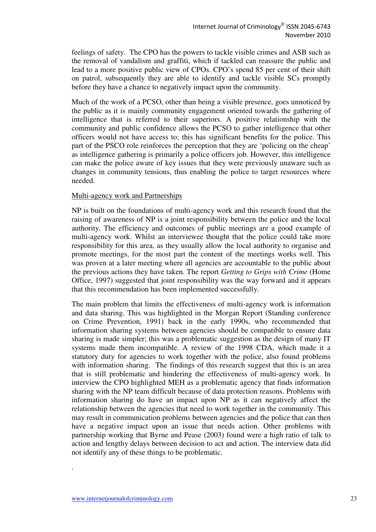feelings of safety. The CPO has the powers to tackle visible crimes and ASB such as the removal of vandalism and graffiti, which if tackled can reassure the public and lead to a more positive public view of CPOs. CPO's spend 85 per cent of their shift on patrol, subsequently they are able to identify and tackle visible SCs promptly before they have a chance to negatively impact upon the community.

Much of the work of a PCSO, other than being a visible presence, goes unnoticed by the public as it is mainly community engagement oriented towards the gathering of intelligence that is referred to their superiors. A positive relationship with the community and public confidence allows the PCSO to gather intelligence that other officers would not have access to; this has significant benefits for the police. This part of the PSCO role reinforces the perception that they are 'policing on the cheap' as intelligence gathering is primarily a police officers job. However, this intelligence can make the police aware of key issues that they were previously unaware such as changes in community tensions, thus enabling the police to target resources where needed.

### Multi-agency work and Partnerships

NP is built on the foundations of multi-agency work and this research found that the raising of awareness of NP is a joint responsibility between the police and the local authority. The efficiency and outcomes of public meetings are a good example of multi-agency work. Whilst an interviewee thought that the police could take more responsibility for this area, as they usually allow the local authority to organise and promote meetings, for the most part the content of the meetings works well. This was proven at a later meeting where all agencies are accountable to the public about the previous actions they have taken. The report *Getting to Grips with Crime* (Home Office, 1997) suggested that joint responsibility was the way forward and it appears that this recommendation has been implemented successfully.

The main problem that limits the effectiveness of multi-agency work is information and data sharing. This was highlighted in the Morgan Report (Standing conference on Crime Prevention, 1991) back in the early 1990s, who recommended that information sharing systems between agencies should be compatible to ensure data sharing is made simpler; this was a problematic suggestion as the design of many IT systems made them incompatible. A review of the 1998 CDA, which made it a statutory duty for agencies to work together with the police, also found problems with information sharing. The findings of this research suggest that this is an area that is still problematic and hindering the effectiveness of multi-agency work. In interview the CPO highlighted MEH as a problematic agency that finds information sharing with the NP team difficult because of data protection reasons. Problems with information sharing do have an impact upon NP as it can negatively affect the relationship between the agencies that need to work together in the community. This may result in communication problems between agencies and the police that can then have a negative impact upon an issue that needs action. Other problems with partnership working that Byrne and Pease (2003) found were a high ratio of talk to action and lengthy delays between decision to act and action. The interview data did not identify any of these things to be problematic.

.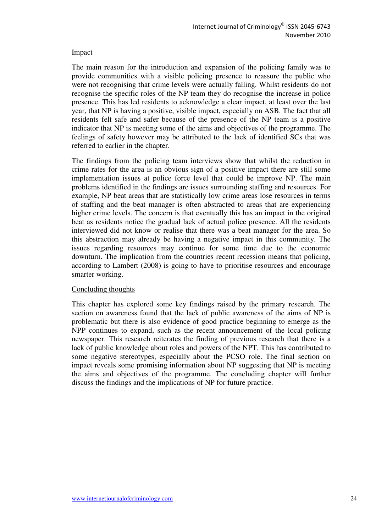#### Impact

The main reason for the introduction and expansion of the policing family was to provide communities with a visible policing presence to reassure the public who were not recognising that crime levels were actually falling. Whilst residents do not recognise the specific roles of the NP team they do recognise the increase in police presence. This has led residents to acknowledge a clear impact, at least over the last year, that NP is having a positive, visible impact, especially on ASB. The fact that all residents felt safe and safer because of the presence of the NP team is a positive indicator that NP is meeting some of the aims and objectives of the programme. The feelings of safety however may be attributed to the lack of identified SCs that was referred to earlier in the chapter.

The findings from the policing team interviews show that whilst the reduction in crime rates for the area is an obvious sign of a positive impact there are still some implementation issues at police force level that could be improve NP. The main problems identified in the findings are issues surrounding staffing and resources. For example, NP beat areas that are statistically low crime areas lose resources in terms of staffing and the beat manager is often abstracted to areas that are experiencing higher crime levels. The concern is that eventually this has an impact in the original beat as residents notice the gradual lack of actual police presence. All the residents interviewed did not know or realise that there was a beat manager for the area. So this abstraction may already be having a negative impact in this community. The issues regarding resources may continue for some time due to the economic downturn. The implication from the countries recent recession means that policing, according to Lambert (2008) is going to have to prioritise resources and encourage smarter working.

### Concluding thoughts

This chapter has explored some key findings raised by the primary research. The section on awareness found that the lack of public awareness of the aims of NP is problematic but there is also evidence of good practice beginning to emerge as the NPP continues to expand, such as the recent announcement of the local policing newspaper. This research reiterates the finding of previous research that there is a lack of public knowledge about roles and powers of the NPT. This has contributed to some negative stereotypes, especially about the PCSO role. The final section on impact reveals some promising information about NP suggesting that NP is meeting the aims and objectives of the programme. The concluding chapter will further discuss the findings and the implications of NP for future practice.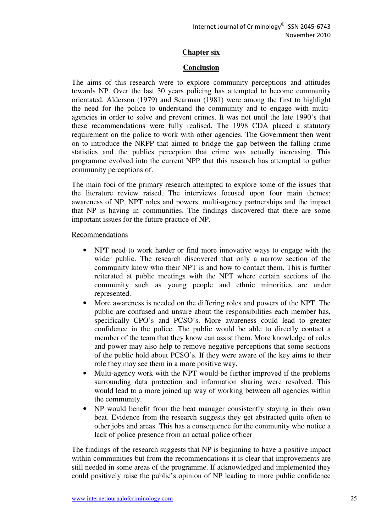# **Chapter six**

#### **Conclusion**

The aims of this research were to explore community perceptions and attitudes towards NP. Over the last 30 years policing has attempted to become community orientated. Alderson (1979) and Scarman (1981) were among the first to highlight the need for the police to understand the community and to engage with multiagencies in order to solve and prevent crimes. It was not until the late 1990's that these recommendations were fully realised. The 1998 CDA placed a statutory requirement on the police to work with other agencies. The Government then went on to introduce the NRPP that aimed to bridge the gap between the falling crime statistics and the publics perception that crime was actually increasing. This programme evolved into the current NPP that this research has attempted to gather community perceptions of.

The main foci of the primary research attempted to explore some of the issues that the literature review raised. The interviews focused upon four main themes; awareness of NP, NPT roles and powers, multi-agency partnerships and the impact that NP is having in communities. The findings discovered that there are some important issues for the future practice of NP.

#### Recommendations

- NPT need to work harder or find more innovative ways to engage with the wider public. The research discovered that only a narrow section of the community know who their NPT is and how to contact them. This is further reiterated at public meetings with the NPT where certain sections of the community such as young people and ethnic minorities are under represented.
- More awareness is needed on the differing roles and powers of the NPT. The public are confused and unsure about the responsibilities each member has, specifically CPO's and PCSO's. More awareness could lead to greater confidence in the police. The public would be able to directly contact a member of the team that they know can assist them. More knowledge of roles and power may also help to remove negative perceptions that some sections of the public hold about PCSO's. If they were aware of the key aims to their role they may see them in a more positive way.
- Multi-agency work with the NPT would be further improved if the problems surrounding data protection and information sharing were resolved. This would lead to a more joined up way of working between all agencies within the community.
- NP would benefit from the beat manager consistently staying in their own beat. Evidence from the research suggests they get abstracted quite often to other jobs and areas. This has a consequence for the community who notice a lack of police presence from an actual police officer

The findings of the research suggests that NP is beginning to have a positive impact within communities but from the recommendations it is clear that improvements are still needed in some areas of the programme. If acknowledged and implemented they could positively raise the public's opinion of NP leading to more public confidence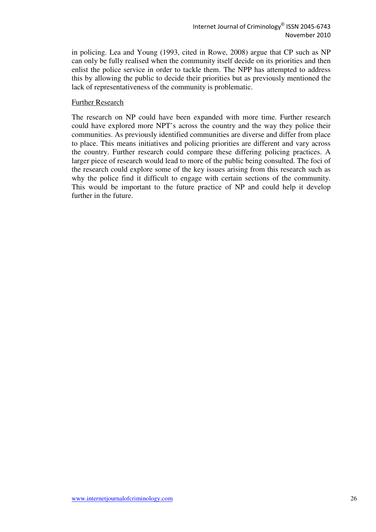in policing. Lea and Young (1993, cited in Rowe, 2008) argue that CP such as NP can only be fully realised when the community itself decide on its priorities and then enlist the police service in order to tackle them. The NPP has attempted to address this by allowing the public to decide their priorities but as previously mentioned the lack of representativeness of the community is problematic.

#### Further Research

The research on NP could have been expanded with more time. Further research could have explored more NPT's across the country and the way they police their communities. As previously identified communities are diverse and differ from place to place. This means initiatives and policing priorities are different and vary across the country. Further research could compare these differing policing practices. A larger piece of research would lead to more of the public being consulted. The foci of the research could explore some of the key issues arising from this research such as why the police find it difficult to engage with certain sections of the community. This would be important to the future practice of NP and could help it develop further in the future.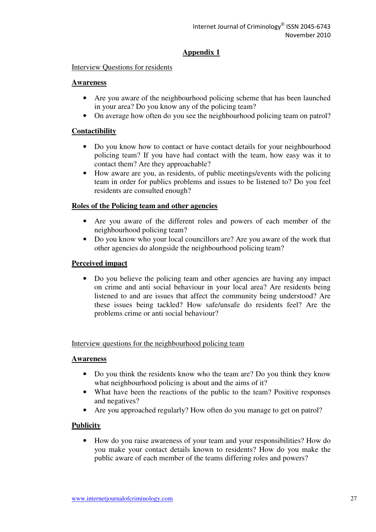# **Appendix 1**

#### Interview Questions for residents

#### **Awareness**

- Are you aware of the neighbourhood policing scheme that has been launched in your area? Do you know any of the policing team?
- On average how often do you see the neighbourhood policing team on patrol?

## **Contactibility**

- Do you know how to contact or have contact details for your neighbourhood policing team? If you have had contact with the team, how easy was it to contact them? Are they approachable?
- How aware are you, as residents, of public meetings/events with the policing team in order for publics problems and issues to be listened to? Do you feel residents are consulted enough?

### **Roles of the Policing team and other agencies**

- Are you aware of the different roles and powers of each member of the neighbourhood policing team?
- Do you know who your local councillors are? Are you aware of the work that other agencies do alongside the neighbourhood policing team?

# **Perceived impact**

• Do you believe the policing team and other agencies are having any impact on crime and anti social behaviour in your local area? Are residents being listened to and are issues that affect the community being understood? Are these issues being tackled? How safe/unsafe do residents feel? Are the problems crime or anti social behaviour?

### Interview questions for the neighbourhood policing team

### **Awareness**

- Do you think the residents know who the team are? Do you think they know what neighbourhood policing is about and the aims of it?
- What have been the reactions of the public to the team? Positive responses and negatives?
- Are you approached regularly? How often do you manage to get on patrol?

### **Publicity**

• How do you raise awareness of your team and your responsibilities? How do you make your contact details known to residents? How do you make the public aware of each member of the teams differing roles and powers?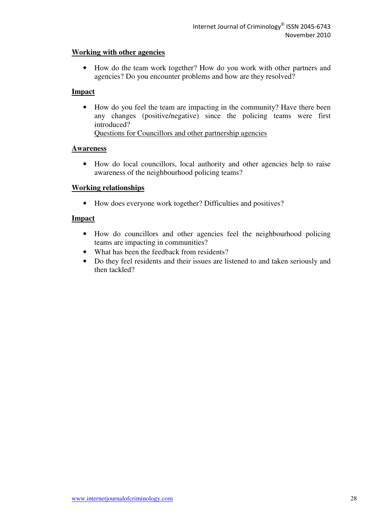# **Working with other agencies**

• How do the team work together? How do you work with other partners and agencies? Do you encounter problems and how are they resolved?

# **Impact**

• How do you feel the team are impacting in the community? Have there been any changes (positive/negative) since the policing teams were first introduced?

Questions for Councillors and other partnership agencies

### **Awareness**

• How do local councillors, local authority and other agencies help to raise awareness of the neighbourhood policing teams?

# **Working relationships**

• How does everyone work together? Difficulties and positives?

# **Impact**

- How do councillors and other agencies feel the neighbourhood policing teams are impacting in communities?
- What has been the feedback from residents?
- Do they feel residents and their issues are listened to and taken seriously and then tackled?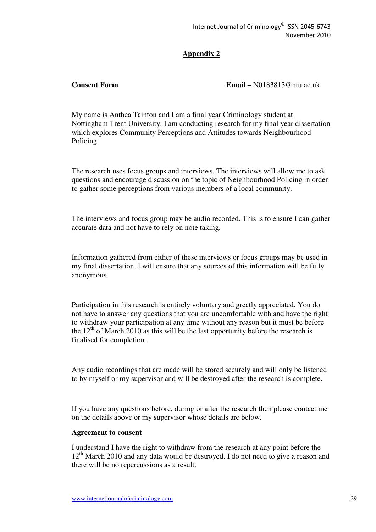# **Appendix 2**

**Consent Form Email –** N0183813@ntu.ac.uk

My name is Anthea Tainton and I am a final year Criminology student at Nottingham Trent University. I am conducting research for my final year dissertation which explores Community Perceptions and Attitudes towards Neighbourhood Policing.

The research uses focus groups and interviews. The interviews will allow me to ask questions and encourage discussion on the topic of Neighbourhood Policing in order to gather some perceptions from various members of a local community.

The interviews and focus group may be audio recorded. This is to ensure I can gather accurate data and not have to rely on note taking.

Information gathered from either of these interviews or focus groups may be used in my final dissertation. I will ensure that any sources of this information will be fully anonymous.

Participation in this research is entirely voluntary and greatly appreciated. You do not have to answer any questions that you are uncomfortable with and have the right to withdraw your participation at any time without any reason but it must be before the  $12<sup>th</sup>$  of March 2010 as this will be the last opportunity before the research is finalised for completion.

Any audio recordings that are made will be stored securely and will only be listened to by myself or my supervisor and will be destroyed after the research is complete.

If you have any questions before, during or after the research then please contact me on the details above or my supervisor whose details are below.

#### **Agreement to consent**

I understand I have the right to withdraw from the research at any point before the 12<sup>th</sup> March 2010 and any data would be destroyed. I do not need to give a reason and there will be no repercussions as a result.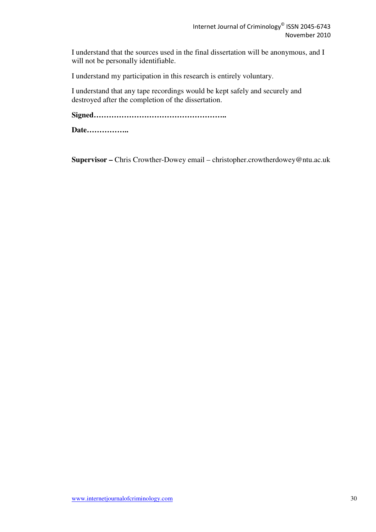I understand that the sources used in the final dissertation will be anonymous, and I will not be personally identifiable.

I understand my participation in this research is entirely voluntary.

I understand that any tape recordings would be kept safely and securely and destroyed after the completion of the dissertation.

**Signed……………………………………………..** 

**Date……………..** 

**Supervisor –** Chris Crowther-Dowey email – christopher.crowtherdowey@ntu.ac.uk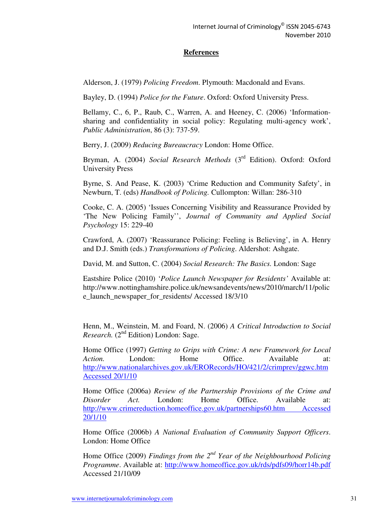#### **References**

Alderson, J. (1979) *Policing Freedom*. Plymouth: Macdonald and Evans.

Bayley, D. (1994) *Police for the Future*. Oxford: Oxford University Press.

Bellamy, C., 6, P., Raub, C., Warren, A. and Heeney, C. (2006) 'Informationsharing and confidentiality in social policy: Regulating multi-agency work', *Public Administration*, 86 (3): 737-59.

Berry, J. (2009) *Reducing Bureaucracy* London: Home Office.

Bryman, A. (2004) *Social Research Methods* (3<sup>rd</sup> Edition). Oxford: Oxford University Press

Byrne, S. And Pease, K. (2003) 'Crime Reduction and Community Safety', in Newburn, T. (eds) *Handbook of Policing.* Cullompton: Willan: 286-310

Cooke, C. A. (2005) 'Issues Concerning Visibility and Reassurance Provided by 'The New Policing Family'', *Journal of Community and Applied Social Psychology* 15: 229-40

Crawford, A. (2007) 'Reassurance Policing: Feeling is Believing', in A. Henry and D.J. Smith (eds.) *Transformations of Policing*. Aldershot: Ashgate.

David, M. and Sutton, C. (2004) *Social Research: The Basics.* London: Sage

Eastshire Police (2010) '*Police Launch Newspaper for Residents'* Available at: http://www.nottinghamshire.police.uk/newsandevents/news/2010/march/11/polic e\_launch\_newspaper\_for\_residents/ Accessed 18/3/10

Henn, M., Weinstein, M. and Foard, N. (2006) *A Critical Introduction to Social Research.* (2<sup>nd</sup> Edition) London: Sage.

Home Office (1997) *Getting to Grips with Crime: A new Framework for Local Action.* London: Home Office. Available at: http://www.nationalarchives.gov.uk/ERORecords/HO/421/2/crimprev/ggwc.htm Accessed 20/1/10

Home Office (2006a) *Review of the Partnership Provisions of the Crime and Disorder Act.* London: Home Office. Available at: http://www.crimereduction.homeoffice.gov.uk/partnerships60.htm Accessed 20/1/10

Home Office (2006b) *A National Evaluation of Community Support Officers*. London: Home Office

Home Office (2009) *Findings from the 2nd Year of the Neighbourhood Policing Programme*. Available at: http://www.homeoffice.gov.uk/rds/pdfs09/horr14b.pdf Accessed 21/10/09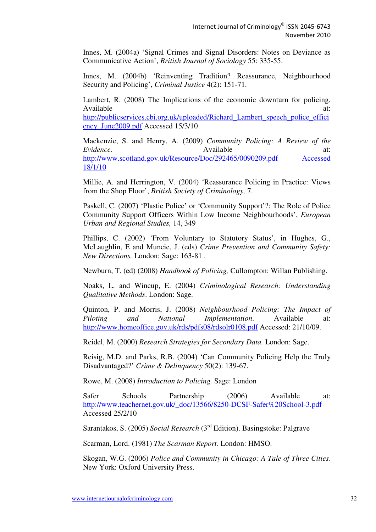Innes, M. (2004a) 'Signal Crimes and Signal Disorders: Notes on Deviance as Communicative Action', *British Journal of Sociology* 55: 335-55.

Innes, M. (2004b) 'Reinventing Tradition? Reassurance, Neighbourhood Security and Policing', *Criminal Justice* 4(2): 151-71.

Lambert, R. (2008) The Implications of the economic downturn for policing. Available at:  $\alpha$  at: http://publicservices.cbi.org.uk/uploaded/Richard\_Lambert\_speech\_police\_effici

ency\_June2009.pdf Accessed 15/3/10

Mackenzie, S. and Henry, A. (2009) *Community Policing: A Review of the Evidence.* **Available at: Available at:** http://www.scotland.gov.uk/Resource/Doc/292465/0090209.pdf Accessed 18/1/10

Millie, A. and Herrington, V. (2004) 'Reassurance Policing in Practice: Views from the Shop Floor', *British Society of Criminology,* 7.

Paskell, C. (2007) 'Plastic Police' or 'Community Support'?: The Role of Police Community Support Officers Within Low Income Neighbourhoods', *European Urban and Regional Studies,* 14, 349

Phillips, C. (2002) 'From Voluntary to Statutory Status', in Hughes, G., McLaughlin, E and Muncie, J. (eds) *Crime Prevention and Community Safety: New Directions.* London: Sage: 163-81 .

Newburn, T. (ed) (2008) *Handbook of Policing,* Cullompton: Willan Publishing.

Noaks, L. and Wincup, E. (2004) *Criminological Research: Understanding Qualitative Methods*. London: Sage.

Quinton, P. and Morris, J. (2008) *Neighbourhood Policing: The Impact of Piloting and National Implementation*. Available at: http://www.homeoffice.gov.uk/rds/pdfs08/rdsolr0108.pdf Accessed: 21/10/09.

Reidel, M. (2000) *Research Strategies for Secondary Data.* London: Sage.

Reisig, M.D. and Parks, R.B. (2004) 'Can Community Policing Help the Truly Disadvantaged?' *Crime & Delinquency* 50(2): 139-67.

Rowe, M. (2008) *Introduction to Policing.* Sage: London

Safer Schools Partnership (2006) Available at: http://www.teachernet.gov.uk/\_doc/13566/8250-DCSF-Safer%20School-3.pdf Accessed 25/2/10

Sarantakos, S. (2005) *Social Research* (3rd Edition). Basingstoke: Palgrave

Scarman, Lord. (1981) *The Scarman Report.* London: HMSO.

Skogan, W.G. (2006) *Police and Community in Chicago: A Tale of Three Cities*. New York: Oxford University Press.